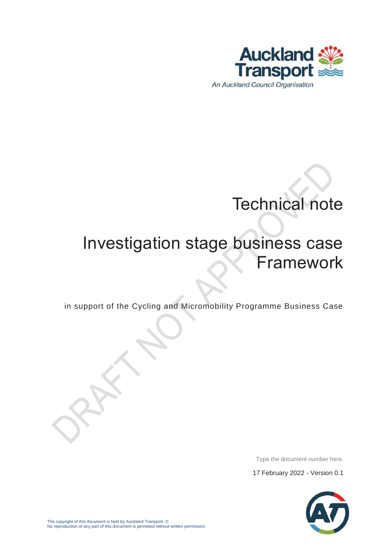

# Technical note

# Investigation stage business case Framework

in support of the Cycling and Micromobility Programme Business Case

Type the document number here.

17 February 2022 - Version 0.1

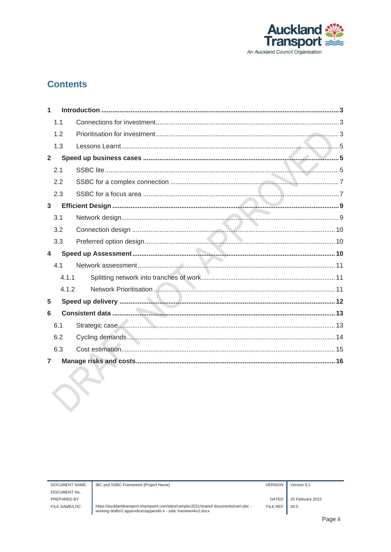

#### **Contents**

| 1                       |       |  |
|-------------------------|-------|--|
|                         | 1.1   |  |
|                         | 1.2   |  |
|                         | 1.3   |  |
| $\overline{2}$          |       |  |
|                         | 2.1   |  |
|                         | 2.2   |  |
|                         | 2.3   |  |
| $\mathbf{3}$            |       |  |
|                         | 3.1   |  |
|                         | 3.2   |  |
|                         | 3.3   |  |
| $\overline{\mathbf{4}}$ |       |  |
|                         | 4.1   |  |
|                         | 4.1.1 |  |
|                         | 4.1.2 |  |
| 5                       |       |  |
| 6                       |       |  |
|                         | 6.1   |  |
|                         | 6.2   |  |
|                         | 6.3   |  |
| $\overline{7}$          |       |  |

 $30.0$ 

25 February 2022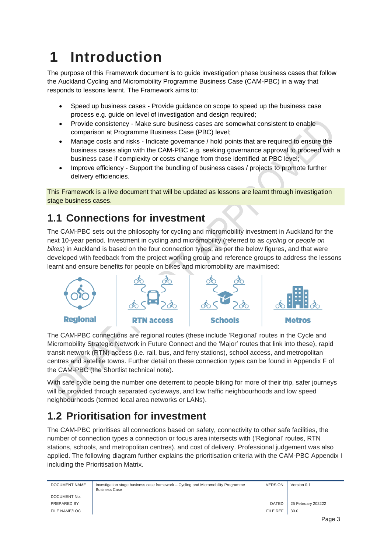## <span id="page-2-0"></span>**1 Introduction**

The purpose of this Framework document is to guide investigation phase business cases that follow the Auckland Cycling and Micromobility Programme Business Case (CAM-PBC) in a way that responds to lessons learnt. The Framework aims to:

- Speed up business cases Provide guidance on scope to speed up the business case process e.g. guide on level of investigation and design required;
- Provide consistency Make sure business cases are somewhat consistent to enable comparison at Programme Business Case (PBC) level;
- Manage costs and risks Indicate governance / hold points that are required to ensure the business cases align with the CAM-PBC e.g. seeking governance approval to proceed with a business case if complexity or costs change from those identified at PBC level;
- Improve efficiency Support the bundling of business cases / projects to promote further delivery efficiencies.

This Framework is a live document that will be updated as lessons are learnt through investigation stage business cases.

### <span id="page-2-1"></span>**1.1 Connections for investment**

The CAM-PBC sets out the philosophy for cycling and micromobility investment in Auckland for the next 10-year period. Investment in cycling and micromobility (referred to as *cycling* or *people on bikes*) in Auckland is based on the four connection types, as per the below figures, and that were developed with feedback from the project working group and reference groups to address the lessons learnt and ensure benefits for people on bikes and micromobility are maximised:



The CAM-PBC connections are regional routes (these include 'Regional' routes in the Cycle and Micromobility Strategic Network in Future Connect and the 'Major' routes that link into these), rapid transit network (RTN) access (i.e. rail, bus, and ferry stations), school access, and metropolitan centres and satellite towns. Further detail on these connection types can be found in Appendix F of the CAM-PBC (the Shortlist technical note).

With safe cycle being the number one deterrent to people biking for more of their trip, safer journeys will be provided through separated cycleways, and low traffic neighbourhoods and low speed neighbourhoods (termed local area networks or LANs).

### <span id="page-2-2"></span>**1.2 Prioritisation for investment**

The CAM-PBC prioritises all connections based on safety, connectivity to other safe facilities, the number of connection types a connection or focus area intersects with ('Regional' routes, RTN stations, schools, and metropolitan centres), and cost of delivery. Professional judgement was also applied. The following diagram further explains the prioritisation criteria with the CAM-PBC Appendix I including the Prioritisation Matrix.

| DOCUMENT NAME | Investigation stage business case framework – Cycling and Micromobility Programme<br><b>Business Case</b> | <b>VERSION</b> | Version 0.1        |  |
|---------------|-----------------------------------------------------------------------------------------------------------|----------------|--------------------|--|
| DOCUMENT No.  |                                                                                                           |                |                    |  |
| PREPARED BY   |                                                                                                           | DATED          | 25 February 202222 |  |
| FILE NAME/LOC |                                                                                                           | FILE REF       | 30.0               |  |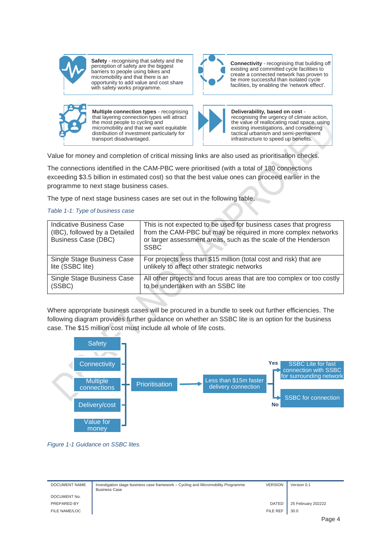

**Safety** - recognising that safety and the perception of safety are the biggest barriers to people using bikes and micromobility and that there is an opportunity to add value and cost share with safety works programme.



**Connectivity** - recognising that building off existing and committed cycle facilities to create a connected network has proven to be more successful than isolated cycle facilities, by enabling the 'network effect'.



**Multiple connection types** - recognising that layering connection types will attract the most people to cycling and micromobility and that we want equitable distribution of investment particularly for transport disadvantaged.



**Deliverability, based on cost**  recognising the urgency of climate action, the value of reallocating road space, using existing investigations, and considering tactical urbanism and semi-permanent infrastructure to speed up benefits.

Value for money and completion of critical missing links are also used as prioritisation checks.

The connections identified in the CAM-PBC were prioritised (with a total of 180 connections exceeding \$3.5 billion in estimated cost) so that the best value ones can proceed earlier in the programme to next stage business cases.

The type of next stage business cases are set out in the following table.

#### *Table 1-1: Type of business case*

| Indicative Business Case<br>(IBC), followed by a Detailed<br><b>Business Case (DBC)</b> | This is not expected to be used for business cases that progress<br>from the CAM-PBC but may be required in more complex networks<br>or larger assessment areas, such as the scale of the Henderson<br><b>SSBC</b> |
|-----------------------------------------------------------------------------------------|--------------------------------------------------------------------------------------------------------------------------------------------------------------------------------------------------------------------|
| Single Stage Business Case                                                              | For projects less than \$15 million (total cost and risk) that are                                                                                                                                                 |
| lite (SSBC lite)                                                                        | unlikely to affect other strategic networks                                                                                                                                                                        |
| Single Stage Business Case                                                              | All other projects and focus areas that are too complex or too costly                                                                                                                                              |
| (SSBC)                                                                                  | to be undertaken with an SSBC lite                                                                                                                                                                                 |

Where appropriate business cases will be procured in a bundle to seek out further efficiencies. The following diagram provides further guidance on whether an SSBC lite is an option for the business case. The \$15 million cost must include all whole of life costs.



*Figure 1-1 Guidance on SSBC lites.*

| <b>DOCUMENT NAME</b> | Investigation stage business case framework - Cycling and Micromobility Programme<br><b>Business Case</b> | <b>VERSION</b> | Version 0.1        |
|----------------------|-----------------------------------------------------------------------------------------------------------|----------------|--------------------|
| DOCUMENT No.         |                                                                                                           |                |                    |
| PREPARED BY          |                                                                                                           | <b>DATED</b>   | 25 February 202222 |
| FILE NAME/LOC        |                                                                                                           | FILE REF       | 30.0               |
|                      |                                                                                                           |                | Dona 1             |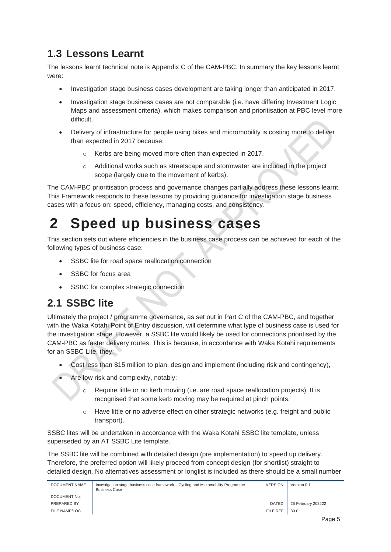#### <span id="page-4-0"></span>**1.3 Lessons Learnt**

The lessons learnt technical note is Appendix C of the CAM-PBC. In summary the key lessons learnt were:

- Investigation stage business cases development are taking longer than anticipated in 2017.
- Investigation stage business cases are not comparable (i.e. have differing Investment Logic Maps and assessment criteria), which makes comparison and prioritisation at PBC level more difficult.
- Delivery of infrastructure for people using bikes and micromobility is costing more to deliver than expected in 2017 because:
	- o Kerbs are being moved more often than expected in 2017.
	- o Additional works such as streetscape and stormwater are included in the project scope (largely due to the movement of kerbs).

The CAM-PBC prioritisation process and governance changes partially address these lessons learnt. This Framework responds to these lessons by providing guidance for investigation stage business cases with a focus on: speed, efficiency, managing costs, and consistency.

### <span id="page-4-1"></span>**2 Speed up business cases**

This section sets out where efficiencies in the business case process can be achieved for each of the following types of business case:

- SSBC lite for road space reallocation connection
- SSBC for focus area
- SSBC for complex strategic connection

#### <span id="page-4-2"></span>**2.1 SSBC lite**

Ultimately the project / programme governance, as set out in Part C of the CAM-PBC, and together with the Waka Kotahi Point of Entry discussion, will determine what type of business case is used for the investigation stage. However, a SSBC lite would likely be used for connections prioritised by the CAM-PBC as faster delivery routes. This is because, in accordance with Waka Kotahi requirements for an SSBC Lite, they:

- Cost less than \$15 million to plan, design and implement (including risk and contingency),
- Are low risk and complexity, notably:
	- o Require little or no kerb moving (i.e. are road space reallocation projects). It is recognised that some kerb moving may be required at pinch points.
	- $\circ$  Have little or no adverse effect on other strategic networks (e.g. freight and public transport).

SSBC lites will be undertaken in accordance with the Waka Kotahi SSBC lite template, unless superseded by an AT SSBC Lite template.

The SSBC lite will be combined with detailed design (pre implementation) to speed up delivery. Therefore, the preferred option will likely proceed from concept design (for shortlist) straight to detailed design. No alternatives assessment or longlist is included as there should be a small number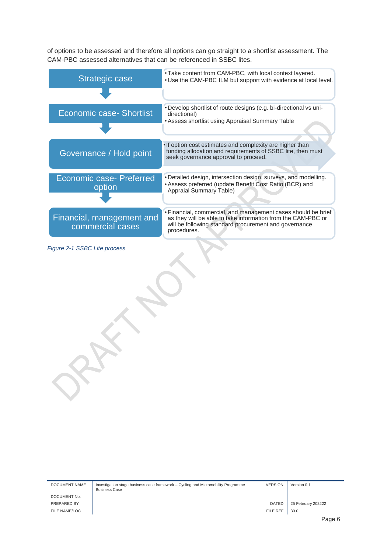of options to be assessed and therefore all options can go straight to a shortlist assessment. The CAM-PBC assessed alternatives that can be referenced in SSBC lites.

| <b>Strategic case</b>                         | • Take content from CAM-PBC, with local context layered.<br>. Use the CAM-PBC ILM but support with evidence at local level.                                                                           |
|-----------------------------------------------|-------------------------------------------------------------------------------------------------------------------------------------------------------------------------------------------------------|
|                                               |                                                                                                                                                                                                       |
| <b>Economic case- Shortlist</b>               | • Develop shortlist of route designs (e.g. bi-directional vs uni-<br>directional)<br>• Assess shortlist using Appraisal Summary Table                                                                 |
|                                               |                                                                                                                                                                                                       |
| Governance / Hold point                       | . If option cost estimates and complexity are higher than<br>funding allocation and requirements of SSBC lite, then must<br>seek governance approval to proceed.                                      |
| <b>Economic case- Preferred</b>               | . Detailed design, intersection design, surveys, and modelling.                                                                                                                                       |
| option                                        | • Assess preferred (update Benefit Cost Ratio (BCR) and<br>Appraial Summary Table)                                                                                                                    |
|                                               |                                                                                                                                                                                                       |
| Financial, management and<br>commercial cases | · Financial, commercial, and management cases should be brief<br>as they will be able to take information from the CAM-PBC or<br>will be following standard procurement and governance<br>procedures. |
|                                               |                                                                                                                                                                                                       |

*Figure 2-1 SSBC Lite process*

| DOCUMENT NAME | Investigation stage business case framework – Cycling and Micromobility Programme<br><b>Business Case</b> | <b>VERSION</b> | Ve |
|---------------|-----------------------------------------------------------------------------------------------------------|----------------|----|
| DOCLIMENT No  |                                                                                                           |                |    |

 $\overline{\text{e}}$  rsion 0.1

DOCUMENT N FILE NAME/LOC **FILE REF** 30.0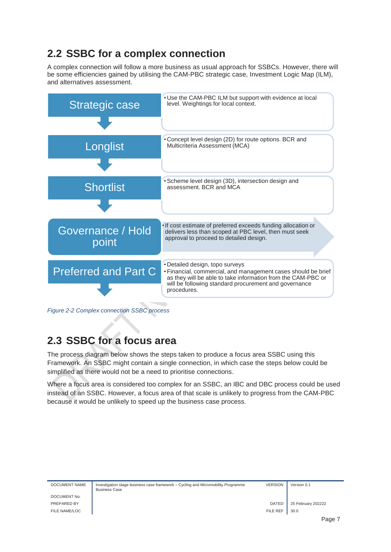#### <span id="page-6-0"></span>**2.2 SSBC for a complex connection**

A complex connection will follow a more business as usual approach for SSBCs. However, there will be some efficiencies gained by utilising the CAM-PBC strategic case, Investment Logic Map (ILM), and alternatives assessment.



*Figure 2-2 Complex connection SSBC process*

#### <span id="page-6-1"></span>**2.3 SSBC for a focus area**

The process diagram below shows the steps taken to produce a focus area SSBC using this Framework. An SSBC might contain a single connection, in which case the steps below could be simplified as there would not be a need to prioritise connections.

Where a focus area is considered too complex for an SSBC, an IBC and DBC process could be used instead of an SSBC. However, a focus area of that scale is unlikely to progress from the CAM-PBC because it would be unlikely to speed up the business case process.

| <b>DOCUMENT NAME</b> | Investigation stage business case framework - Cycling and Micromobility Programme<br><b>Business Case</b> | <b>VERSION</b> | Version 0.1        |
|----------------------|-----------------------------------------------------------------------------------------------------------|----------------|--------------------|
| DOCUMENT No.         |                                                                                                           |                |                    |
| PREPARED BY          |                                                                                                           | <b>DATED</b>   | 25 February 202222 |
| FILE NAME/LOC        |                                                                                                           | FILE REF       | 30.0               |
|                      |                                                                                                           |                | Page               |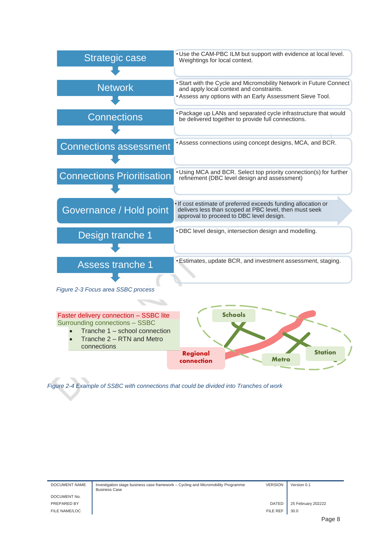

*Figure 2-4 Example of SSBC with connections that could be divided into Tranches of work*

| DOCUMENT NAME | Investigation stage business case framework - Cycling and Micromobility Programme<br><b>Business Case</b> | <b>VERSION</b> | Version 0.1        |  |
|---------------|-----------------------------------------------------------------------------------------------------------|----------------|--------------------|--|
| DOCUMENT No.  |                                                                                                           |                |                    |  |
| PREPARED BY   |                                                                                                           | <b>DATED</b>   | 25 February 202222 |  |
| FILE NAME/LOC |                                                                                                           | FILE REF       | 30.0               |  |
|               |                                                                                                           |                | Page 8             |  |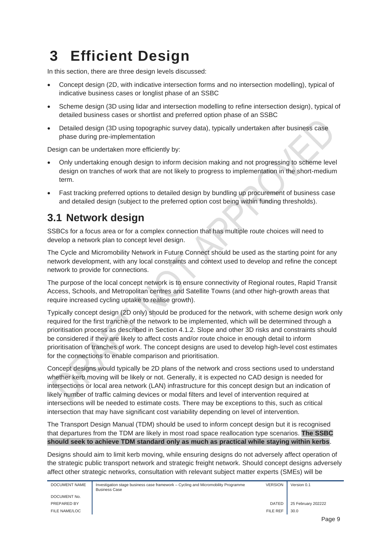# <span id="page-8-0"></span>**3 Efficient Design**

In this section, there are three design levels discussed:

- Concept design (2D, with indicative intersection forms and no intersection modelling), typical of indicative business cases or longlist phase of an SSBC
- Scheme design (3D using lidar and intersection modelling to refine intersection design), typical of detailed business cases or shortlist and preferred option phase of an SSBC
- Detailed design (3D using topographic survey data), typically undertaken after business case phase during pre-implementation

Design can be undertaken more efficiently by:

- Only undertaking enough design to inform decision making and not progressing to scheme level design on tranches of work that are not likely to progress to implementation in the short-medium term.
- Fast tracking preferred options to detailed design by bundling up procurement of business case and detailed design (subject to the preferred option cost being within funding thresholds).

#### <span id="page-8-1"></span>**3.1 Network design**

SSBCs for a focus area or for a complex connection that has multiple route choices will need to develop a network plan to concept level design.

The Cycle and Micromobility Network in Future Connect should be used as the starting point for any network development, with any local constraints and context used to develop and refine the concept network to provide for connections.

The purpose of the local concept network is to ensure connectivity of Regional routes, Rapid Transit Access, Schools, and Metropolitan centres and Satellite Towns (and other high-growth areas that require increased cycling uptake to realise growth).

Typically concept design (2D only) should be produced for the network, with scheme design work only required for the first tranche of the network to be implemented, which will be determined through a prioritisation process as described in Section [4.1.2.](#page-10-2) Slope and other 3D risks and constraints should be considered if they are likely to affect costs and/or route choice in enough detail to inform prioritisation of tranches of work. The concept designs are used to develop high-level cost estimates for the connections to enable comparison and prioritisation.

Concept designs would typically be 2D plans of the network and cross sections used to understand whether kerb moving will be likely or not. Generally, it is expected no CAD design is needed for intersections or local area network (LAN) infrastructure for this concept design but an indication of likely number of traffic calming devices or modal filters and level of intervention required at intersections will be needed to estimate costs. There may be exceptions to this, such as critical intersection that may have significant cost variability depending on level of intervention.

The Transport Design Manual (TDM) should be used to inform concept design but it is recognised that departures from the TDM are likely in most road space reallocation type scenarios. **The SSBC should seek to achieve TDM standard only as much as practical while staying within kerbs**.

Designs should aim to limit kerb moving, while ensuring designs do not adversely affect operation of the strategic public transport network and strategic freight network. Should concept designs adversely affect other strategic networks, consultation with relevant subject matter experts (SMEs) will be

| DOCUMENT NAME | Investigation stage business case framework – Cycling and Micromobility Programme<br><b>Business Case</b> | <b>VERSION</b> | Version 0.1        |
|---------------|-----------------------------------------------------------------------------------------------------------|----------------|--------------------|
| DOCUMENT No.  |                                                                                                           |                |                    |
| PREPARED BY   |                                                                                                           | <b>DATED</b>   | 25 February 202222 |
| FILE NAME/LOC |                                                                                                           | FILE REF       | 30.0               |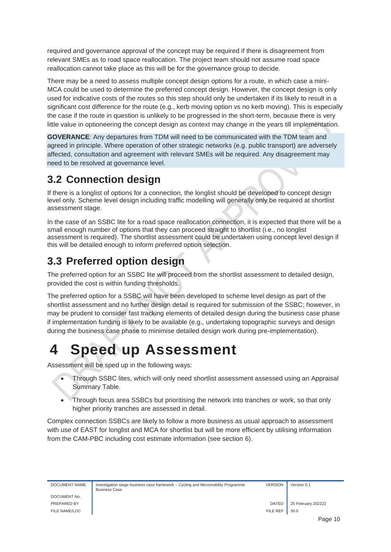required and governance approval of the concept may be required if there is disagreement from relevant SMEs as to road space reallocation. The project team should not assume road space reallocation cannot take place as this will be for the governance group to decide.

There may be a need to assess multiple concept design options for a route, in which case a mini-MCA could be used to determine the preferred concept design. However, the concept design is only used for indicative costs of the routes so this step should only be undertaken if its likely to result in a significant cost difference for the route (e.g., kerb moving option vs no kerb moving). This is especially the case if the route in question is unlikely to be progressed in the short-term, because there is very little value in optioneering the concept design as context may change in the years till implementation.

**GOVERANCE**: Any departures from TDM will need to be communicated with the TDM team and agreed in principle. Where operation of other strategic networks (e.g. public transport) are adversely affected, consultation and agreement with relevant SMEs will be required. Any disagreement may need to be resolved at governance level.

#### <span id="page-9-0"></span>**3.2 Connection design**

If there is a longlist of options for a connection, the longlist should be developed to concept design level only. Scheme level design including traffic modelling will generally only be required at shortlist assessment stage.

In the case of an SSBC lite for a road space reallocation connection, it is expected that there will be a small enough number of options that they can proceed straight to shortlist (i.e., no longlist assessment is required). The shortlist assessment could be undertaken using concept level design if this will be detailed enough to inform preferred option selection.

### <span id="page-9-1"></span>**3.3 Preferred option design**

The preferred option for an SSBC lite will proceed from the shortlist assessment to detailed design, provided the cost is within funding thresholds.

The preferred option for a SSBC will have been developed to scheme level design as part of the shortlist assessment and no further design detail is required for submission of the SSBC; however, in may be prudent to consider fast tracking elements of detailed design during the business case phase if implementation funding is likely to be available (e.g., undertaking topographic surveys and design during the business case phase to minimise detailed design work during pre-implementation).

## <span id="page-9-2"></span>**4 Speed up Assessment**

Assessment will be sped up in the following ways:

- Through SSBC lites, which will only need shortlist assessment assessed using an Appraisal Summary Table.
- Through focus area SSBCs but prioritising the network into tranches or work, so that only higher priority tranches are assessed in detail.

Complex connection SSBCs are likely to follow a more business as usual approach to assessment with use of EAST for longlist and MCA for shortlist but will be more efficient by utilising information from the CAM-PBC including cost estimate information (see section [6\)](#page-12-0).

| DOCUMENT NAME | Investigation stage business case framework – Cycling and Micromobility Programme<br><b>Business Case</b> | VERSION         | Vers |
|---------------|-----------------------------------------------------------------------------------------------------------|-----------------|------|
| DOCUMENT No.  |                                                                                                           |                 |      |
| PREPARED BY   |                                                                                                           | <b>DATED</b>    | 25 F |
| FILE NAME/LOC |                                                                                                           | <b>FILE REF</b> | 30.0 |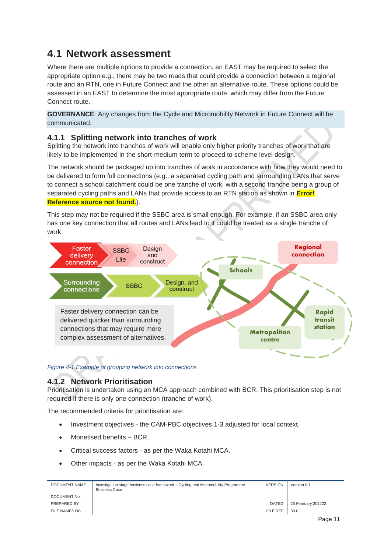#### <span id="page-10-0"></span>**4.1 Network assessment**

Where there are multiple options to provide a connection, an EAST may be required to select the appropriate option e.g., there may be two roads that could provide a connection between a regional route and an RTN, one in Future Connect and the other an alternative route. These options could be assessed in an EAST to determine the most appropriate route, which may differ from the Future Connect route.

**GOVERNANCE**: Any changes from the Cycle and Micromobility Network in Future Connect will be communicated.

#### <span id="page-10-1"></span>**4.1.1 Splitting network into tranches of work**

Splitting the network into tranches of work will enable only higher priority tranches of work that are likely to be implemented in the short-medium term to proceed to scheme level design.

The network should be packaged up into tranches of work in accordance with how they would need to be delivered to form full connections (e.g., a separated cycling path and surrounding LANs that serve to connect a school catchment could be one tranche of work, with a second tranche being a group of separated cycling paths and LANs that provide access to an RTN station as shown in **Error! Reference source not found.**).

This step may not be required if the SSBC area is small enough. For example, if an SSBC area only has one key connection that all routes and LANs lead to it could be treated as a single tranche of work.



*Figure 4-1 Example of grouping network into connections*

#### <span id="page-10-2"></span>**4.1.2 Network Prioritisation**

Prioritisation is undertaken using an MCA approach combined with BCR. This prioritisation step is not required if there is only one connection (tranche of work).

The recommended criteria for prioritisation are:

- Investment objectives the CAM-PBC objectives 1-3 adjusted for local context.
- Monetised benefits BCR.
- Critical success factors as per the Waka Kotahi MCA.
- Other impacts as per the Waka Kotahi MCA.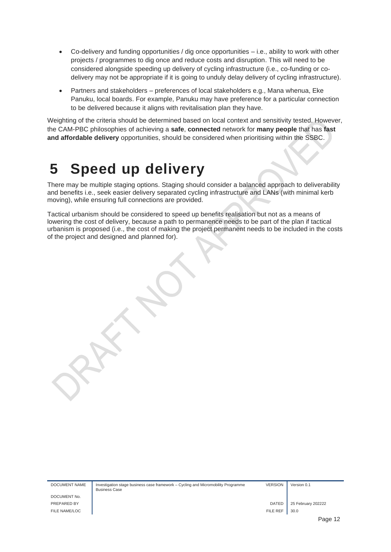- Co-delivery and funding opportunities / dig once opportunities i.e., ability to work with other projects / programmes to dig once and reduce costs and disruption. This will need to be considered alongside speeding up delivery of cycling infrastructure (i.e., co-funding or codelivery may not be appropriate if it is going to unduly delay delivery of cycling infrastructure).
- Partners and stakeholders preferences of local stakeholders e.g., Mana whenua, Eke Panuku, local boards. For example, Panuku may have preference for a particular connection to be delivered because it aligns with revitalisation plan they have.

Weighting of the criteria should be determined based on local context and sensitivity tested. However, the CAM-PBC philosophies of achieving a **safe**, **connected** network for **many people** that has **fast and affordable delivery** opportunities, should be considered when prioritising within the SSBC.

### <span id="page-11-0"></span>**5 Speed up delivery**

There may be multiple staging options. Staging should consider a balanced approach to deliverability and benefits i.e., seek easier delivery separated cycling infrastructure and LANs (with minimal kerb moving), while ensuring full connections are provided.

Tactical urbanism should be considered to speed up benefits realisation but not as a means of lowering the cost of delivery, because a path to permanence needs to be part of the plan if tactical urbanism is proposed (i.e., the cost of making the project permanent needs to be included in the costs of the project and designed and planned for).

DOCUMENT NAME Investigation stage business case framework – Cycling and Micromobility Programme Business Case

VERSION Version 0.1

DOCUMENT No. FILE NAME/LOC FILE REF  $\parallel$  30.0

PREPARED BY **DATED** 25 February 202222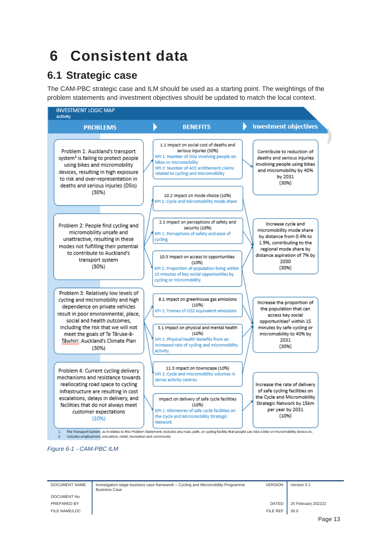## <span id="page-12-0"></span>**6 Consistent data**

#### <span id="page-12-1"></span>**6.1 Strategic case**

The CAM-PBC strategic case and ILM should be used as a starting point. The weightings of the problem statements and investment objectives should be updated to match the local context.



*Figure 6-1 - CAM-PBC ILM*

| DOCUMENT NAME | Investigation stage business case framework – Cycling and Micromobility Programme<br><b>Business Case</b> | <b>VERSION</b> | Version 0.1        |
|---------------|-----------------------------------------------------------------------------------------------------------|----------------|--------------------|
| DOCUMENT No.  |                                                                                                           |                |                    |
| PREPARED BY   |                                                                                                           | DATED          | 25 February 202222 |
| FILE NAME/LOC |                                                                                                           | FILE REF       | 30.0               |
|               |                                                                                                           |                |                    |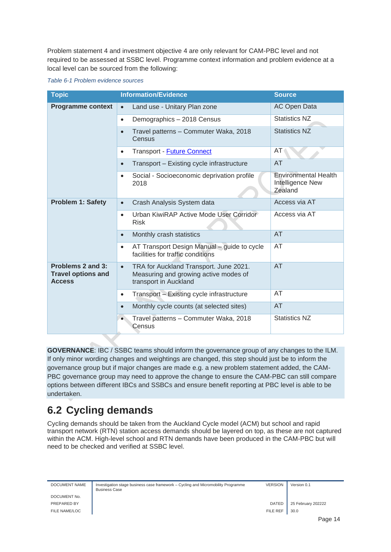Problem statement 4 and investment objective 4 are only relevant for CAM-PBC level and not required to be assessed at SSBC level. Programme context information and problem evidence at a local level can be sourced from the following:

|  | Table 6-1 Problem evidence sources |
|--|------------------------------------|
|--|------------------------------------|

| <b>Topic</b>                                                    | <b>Information/Evidence</b>                                                                                           | <b>Source</b>                                              |
|-----------------------------------------------------------------|-----------------------------------------------------------------------------------------------------------------------|------------------------------------------------------------|
| <b>Programme context</b>                                        | Land use - Unitary Plan zone<br>$\bullet$                                                                             | <b>AC Open Data</b>                                        |
|                                                                 | Demographics - 2018 Census<br>$\bullet$                                                                               | <b>Statistics NZ</b>                                       |
|                                                                 | Travel patterns - Commuter Waka, 2018<br>$\bullet$<br>Census                                                          | <b>Statistics NZ</b>                                       |
|                                                                 | Transport - <b>Future Connect</b><br>$\bullet$                                                                        | AT                                                         |
|                                                                 | Transport - Existing cycle infrastructure<br>$\bullet$                                                                | AT                                                         |
|                                                                 | Social - Socioeconomic deprivation profile<br>$\bullet$<br>2018                                                       | <b>Environmental Health</b><br>Intelligence New<br>Zealand |
| <b>Problem 1: Safety</b>                                        | Crash Analysis System data<br>$\bullet$                                                                               | Access via AT                                              |
|                                                                 | Urban KiwiRAP Active Mode User Corridor<br>$\bullet$<br><b>Risk</b>                                                   | Access via AT                                              |
|                                                                 | Monthly crash statistics<br>$\bullet$                                                                                 | AT                                                         |
|                                                                 | AT Transport Design Manual - guide to cycle<br>$\bullet$<br>facilities for traffic conditions                         | AT                                                         |
| Problems 2 and 3:<br><b>Travel options and</b><br><b>Access</b> | TRA for Auckland Transport. June 2021.<br>$\bullet$<br>Measuring and growing active modes of<br>transport in Auckland | <b>AT</b>                                                  |
|                                                                 | Transport - Existing cycle infrastructure<br>$\bullet$                                                                | AT                                                         |
|                                                                 | Monthly cycle counts (at selected sites)<br>$\bullet$                                                                 | <b>AT</b>                                                  |
|                                                                 | Travel patterns - Commuter Waka, 2018<br>Census                                                                       | <b>Statistics NZ</b>                                       |

**GOVERNANCE**: IBC / SSBC teams should inform the governance group of any changes to the ILM. If only minor wording changes and weightings are changed, this step should just be to inform the governance group but if major changes are made e.g. a new problem statement added, the CAM-PBC governance group may need to approve the change to ensure the CAM-PBC can still compare options between different IBCs and SSBCs and ensure benefit reporting at PBC level is able to be undertaken.

### <span id="page-13-0"></span>**6.2 Cycling demands**

Cycling demands should be taken from the Auckland Cycle model (ACM) but school and rapid transport network (RTN) station access demands should be layered on top, as these are not captured within the ACM. High-level school and RTN demands have been produced in the CAM-PBC but will need to be checked and verified at SSBC level.

| DOCUMENT NAME | Investigation stage business case framework - Cycling and Micromobility Programme<br><b>Business Case</b> | <b>VERSION</b>  | Version 0.1        |
|---------------|-----------------------------------------------------------------------------------------------------------|-----------------|--------------------|
| DOCUMENT No.  |                                                                                                           |                 |                    |
| PREPARED BY   |                                                                                                           | <b>DATED</b>    | 25 February 202222 |
| FILE NAME/LOC |                                                                                                           | <b>FILE REF</b> | 30.0               |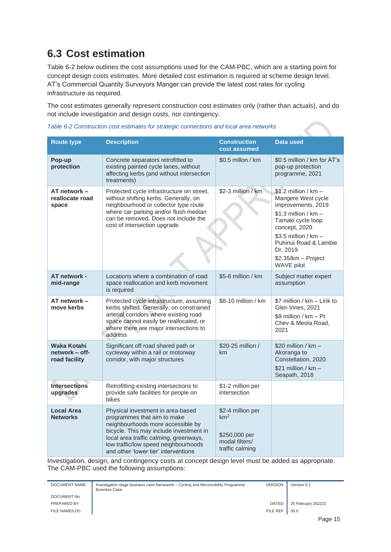### <span id="page-14-0"></span>**6.3 Cost estimation**

[Table 6-2](#page-14-1) below outlines the cost assumptions used for the CAM-PBC, which are a starting point for concept design costs estimates. More detailed cost estimation is required at scheme design level. AT's Commercial Quantity Surveyors Manger can provide the latest cost rates for cycling infrastructure as required.

The cost estimates generally represent construction cost estimates only (rather than actuals), and do not include investigation and design costs, nor contingency.

| <b>Route type</b>                              | <b>Description</b>                                                                                                                                                                                                                                                         | <b>Construction</b><br>cost assumed                                                        | <b>Data used</b>                                                                                                                                                                                                                    |
|------------------------------------------------|----------------------------------------------------------------------------------------------------------------------------------------------------------------------------------------------------------------------------------------------------------------------------|--------------------------------------------------------------------------------------------|-------------------------------------------------------------------------------------------------------------------------------------------------------------------------------------------------------------------------------------|
| Pop-up<br>protection                           | Concrete separators retrofitted to<br>existing painted cycle lanes, without<br>affecting kerbs (and without intersection<br>treatments)                                                                                                                                    | $$0.5$ millon / km                                                                         | \$0.5 million / km for AT's<br>pop-up protection<br>programme, 2021                                                                                                                                                                 |
| AT network -<br>reallocate road<br>space       | Protected cycle infrastructure on street,<br>without shifting kerbs. Generally, on<br>neighbourhood or collector type route<br>where car parking and/or flush median<br>can be removed. Does not include the<br>cost of intersection upgrade                               | \$2-3 million / km                                                                         | $$1.2$ million / km -<br>Mangere West cycle<br>improvements, 2019<br>$$1.3$ million / km -<br>Tamaki cycle loop<br>concept, 2020<br>$$3.5$ million / km -<br>Puhinui Road & Lambie<br>Dr, 2019<br>\$2.35/km - Project<br>WAVE pilot |
| AT network -<br>mid-range                      | Locations where a combination of road<br>space reallocation and kerb movement<br>is required                                                                                                                                                                               | \$5-6 million / km                                                                         | Subject matter expert<br>assumption                                                                                                                                                                                                 |
| AT network -<br>move kerbs                     | Protected cycle infrastructure, assuming<br>kerbs shifted. Generally, on constrained<br>arterial corridors where existing road<br>space cannot easily be reallocated, or<br>where there are major intersections to<br>address                                              | \$8-10 million / km                                                                        | \$7 million / km - Link to<br>Glen Innes, 2021<br>\$9 million / km - Pt<br>Chev & Meola Road,<br>2021                                                                                                                               |
| Waka Kotahi<br>network – off-<br>road facility | Significant off road shared path or<br>cycleway within a rail or motorway<br>corridor, with major structures                                                                                                                                                               | \$20-25 million /<br>km                                                                    | $$20$ million / km -<br>Akoranga to<br>Constellation, 2020<br>$$21$ million / km -<br>Seapath, 2018                                                                                                                                 |
| <b>Intersections</b><br>upgrades               | Retrofitting existing intersections to<br>provide safe facilities for people on<br>bikes                                                                                                                                                                                   | \$1-2 million per<br>intersection                                                          |                                                                                                                                                                                                                                     |
| <b>Local Area</b><br><b>Networks</b>           | Physical investment in area-based<br>programmes that aim to make<br>neighbourhoods more accessible by<br>bicycle. This may include investment in<br>local area traffic calming, greenways,<br>low traffic/low speed neighbourhoods<br>and other 'lower tier' interventions | \$2-4 million per<br>km <sup>2</sup><br>\$250,000 per<br>modal filters/<br>traffic calming |                                                                                                                                                                                                                                     |

<span id="page-14-1"></span>

| Table 6-2 Construction cost estimates for strategic connections and local area networks |  |  |  |
|-----------------------------------------------------------------------------------------|--|--|--|
|                                                                                         |  |  |  |

Investigation, design, and contingency costs at concept design level must be added as appropriate. The CAM-PBC used the following assumptions:

| DOCUMENT NAME | Investigation stage business case framework – Cycling and Micromobility Programme<br><b>Business Case</b> | <b>VERSION</b> | Version 0.1        |
|---------------|-----------------------------------------------------------------------------------------------------------|----------------|--------------------|
| DOCUMENT No.  |                                                                                                           |                |                    |
| PREPARED BY   |                                                                                                           | DATED          | 25 February 202222 |
| FILE NAME/LOC |                                                                                                           | FILE REF       | 30.0               |